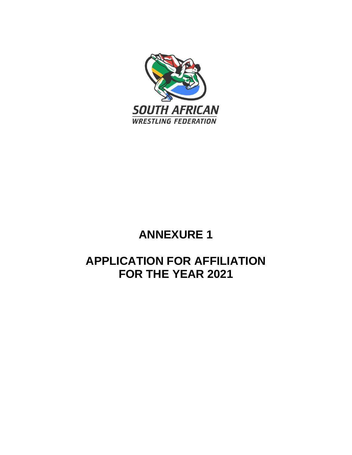

## **ANNEXURE 1**

## **APPLICATION FOR AFFILIATION FOR THE YEAR 2021**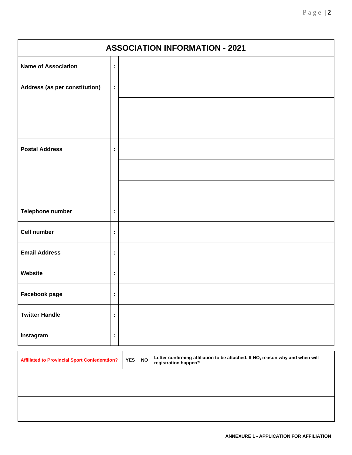| Page $ 2 $ |  |
|------------|--|
|            |  |

| <b>ASSOCIATION INFORMATION - 2021</b> |    |  |  |
|---------------------------------------|----|--|--|
| <b>Name of Association</b>            | ÷, |  |  |
| Address (as per constitution)         | ÷. |  |  |
|                                       |    |  |  |
|                                       |    |  |  |
| <b>Postal Address</b>                 | t, |  |  |
|                                       |    |  |  |
|                                       |    |  |  |
| Telephone number                      | ÷, |  |  |
| <b>Cell number</b>                    | t, |  |  |
| <b>Email Address</b>                  | t, |  |  |
| Website                               | ÷, |  |  |
| Facebook page                         | Ì, |  |  |
| <b>Twitter Handle</b>                 | ÷  |  |  |
| Instagram                             | t, |  |  |

| <b>Affiliated to Provincial Sport Confederation?</b> | <b>YES</b> | <b>NO</b> | Letter confirming affiliation to be attached. If NO, reason why and when will<br>registration happen? |
|------------------------------------------------------|------------|-----------|-------------------------------------------------------------------------------------------------------|
|                                                      |            |           |                                                                                                       |
|                                                      |            |           |                                                                                                       |
|                                                      |            |           |                                                                                                       |
|                                                      |            |           |                                                                                                       |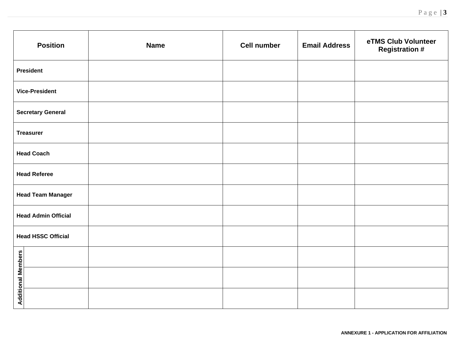| <b>Position</b>            | <b>Name</b> | <b>Cell number</b> | <b>Email Address</b> | eTMS Club Volunteer<br><b>Registration #</b> |
|----------------------------|-------------|--------------------|----------------------|----------------------------------------------|
| <b>President</b>           |             |                    |                      |                                              |
| <b>Vice-President</b>      |             |                    |                      |                                              |
| <b>Secretary General</b>   |             |                    |                      |                                              |
| <b>Treasurer</b>           |             |                    |                      |                                              |
| <b>Head Coach</b>          |             |                    |                      |                                              |
| <b>Head Referee</b>        |             |                    |                      |                                              |
| <b>Head Team Manager</b>   |             |                    |                      |                                              |
| <b>Head Admin Official</b> |             |                    |                      |                                              |
| <b>Head HSSC Official</b>  |             |                    |                      |                                              |
|                            |             |                    |                      |                                              |
| <b>Additional Members</b>  |             |                    |                      |                                              |
|                            |             |                    |                      |                                              |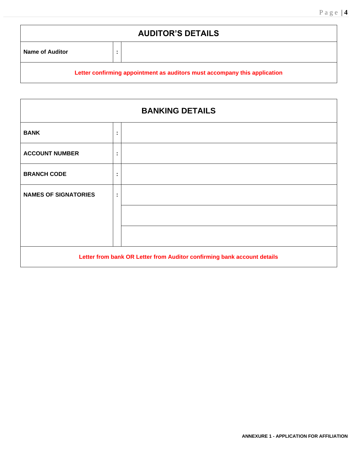# **AUDITOR'S DETAILS Name of Auditor :**

### **Letter confirming appointment as auditors must accompany this application**

| <b>BANKING DETAILS</b>                                                  |                             |  |  |
|-------------------------------------------------------------------------|-----------------------------|--|--|
| <b>BANK</b>                                                             | ٠<br>٠                      |  |  |
| <b>ACCOUNT NUMBER</b>                                                   | ÷                           |  |  |
| <b>BRANCH CODE</b>                                                      | $\blacksquare$<br>$\bullet$ |  |  |
| <b>NAMES OF SIGNATORIES</b>                                             | ÷                           |  |  |
|                                                                         |                             |  |  |
|                                                                         |                             |  |  |
| Letter from bank OR Letter from Auditor confirming bank account details |                             |  |  |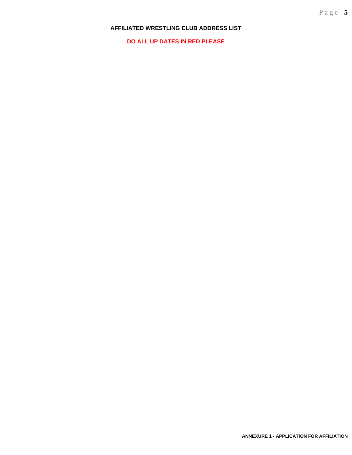#### **AFFILIATED WRESTLING CLUB ADDRESS LIST**

**DO ALL UP DATES IN RED PLEASE**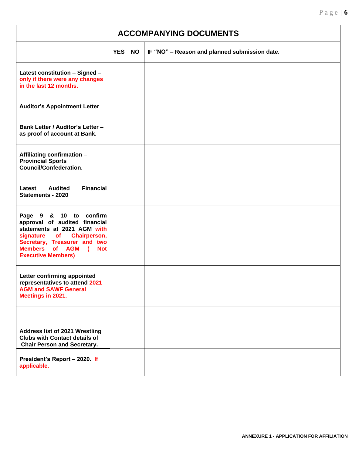٦

| <b>ACCOMPANYING DOCUMENTS</b>                                                                                                                                                                                      |            |           |                                               |
|--------------------------------------------------------------------------------------------------------------------------------------------------------------------------------------------------------------------|------------|-----------|-----------------------------------------------|
|                                                                                                                                                                                                                    | <b>YES</b> | <b>NO</b> | IF "NO" - Reason and planned submission date. |
| Latest constitution - Signed -<br>only if there were any changes<br>in the last 12 months.                                                                                                                         |            |           |                                               |
| <b>Auditor's Appointment Letter</b>                                                                                                                                                                                |            |           |                                               |
| <b>Bank Letter / Auditor's Letter -</b><br>as proof of account at Bank.                                                                                                                                            |            |           |                                               |
| Affiliating confirmation -<br><b>Provincial Sports</b><br><b>Council/Confederation.</b>                                                                                                                            |            |           |                                               |
| <b>Financial</b><br><b>Audited</b><br>Latest<br><b>Statements - 2020</b>                                                                                                                                           |            |           |                                               |
| Page 9 & 10 to confirm<br>approval of audited financial<br>statements at 2021 AGM with<br>signature of Chairperson,<br>Secretary, Treasurer and two<br>Members of AGM (<br><b>Not</b><br><b>Executive Members)</b> |            |           |                                               |
| Letter confirming appointed<br>representatives to attend 2021<br><b>AGM and SAWF General</b><br>Meetings in 2021.                                                                                                  |            |           |                                               |
|                                                                                                                                                                                                                    |            |           |                                               |
| <b>Address list of 2021 Wrestling</b><br><b>Clubs with Contact details of</b><br><b>Chair Person and Secretary.</b>                                                                                                |            |           |                                               |
| President's Report - 2020. If<br>applicable.                                                                                                                                                                       |            |           |                                               |

 $\Gamma$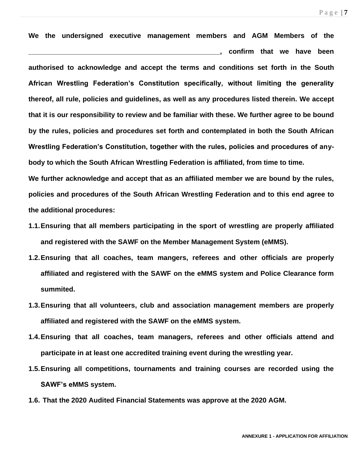**We the undersigned executive management members and AGM Members of the \_\_\_\_\_\_\_\_\_\_\_\_\_\_\_\_\_\_\_\_\_\_\_\_\_\_\_\_\_\_\_\_\_\_\_\_\_\_\_\_\_\_\_\_\_\_\_\_\_\_, confirm that we have been authorised to acknowledge and accept the terms and conditions set forth in the South African Wrestling Federation's Constitution specifically, without limiting the generality thereof, all rule, policies and guidelines, as well as any procedures listed therein. We accept that it is our responsibility to review and be familiar with these. We further agree to be bound by the rules, policies and procedures set forth and contemplated in both the South African Wrestling Federation's Constitution, together with the rules, policies and procedures of anybody to which the South African Wrestling Federation is affiliated, from time to time.**

**We further acknowledge and accept that as an affiliated member we are bound by the rules, policies and procedures of the South African Wrestling Federation and to this end agree to the additional procedures:**

- **1.1.Ensuring that all members participating in the sport of wrestling are properly affiliated and registered with the SAWF on the Member Management System (eMMS).**
- **1.2.Ensuring that all coaches, team mangers, referees and other officials are properly affiliated and registered with the SAWF on the eMMS system and Police Clearance form summited.**
- **1.3.Ensuring that all volunteers, club and association management members are properly affiliated and registered with the SAWF on the eMMS system.**
- **1.4.Ensuring that all coaches, team managers, referees and other officials attend and participate in at least one accredited training event during the wrestling year.**
- **1.5.Ensuring all competitions, tournaments and training courses are recorded using the SAWF's eMMS system.**
- **1.6. That the 2020 Audited Financial Statements was approve at the 2020 AGM.**